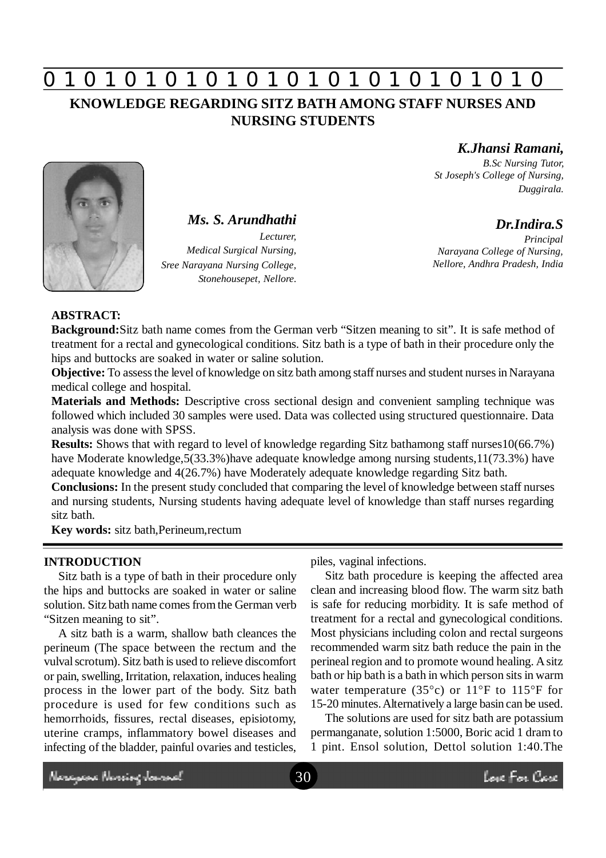# **0 z 0 z 0 z 0 z 0 z 0 z 0 z 0 z 0 z 0 z 0 z 0 z 0**

## **KNOWLEDGE REGARDING SITZ BATH AMONG STAFF NURSES AND NURSING STUDENTS**

*K.Jhansi Ramani,*

*B.Sc Nursing Tutor, St Joseph's College of Nursing, Duggirala.*

## *Dr.Indira.S*

*Principal Narayana College of Nursing, Nellore, Andhra Pradesh, India*



*Ms. S. Arundhathi*

*Lecturer, Medical Surgical Nursing, Sree Narayana Nursing College, Stonehousepet, Nellore.*

### **ABSTRACT:**

**Background:**Sitz bath name comes from the German verb "Sitzen meaning to sit". It is safe method of treatment for a rectal and gynecological conditions. Sitz bath is a type of bath in their procedure only the hips and buttocks are soaked in water or saline solution.

**Objective:** To assess the level of knowledge on sitz bath among staff nurses and student nurses in Narayana medical college and hospital.

**Materials and Methods:** Descriptive cross sectional design and convenient sampling technique was followed which included 30 samples were used. Data was collected using structured questionnaire. Data analysis was done with SPSS.

**Results:** Shows that with regard to level of knowledge regarding Sitz bathamong staff nurses10(66.7%) have Moderate knowledge,5(33.3%)have adequate knowledge among nursing students,11(73.3%) have adequate knowledge and 4(26.7%) have Moderately adequate knowledge regarding Sitz bath.

**Conclusions:** In the present study concluded that comparing the level of knowledge between staff nurses and nursing students, Nursing students having adequate level of knowledge than staff nurses regarding sitz bath.

**Key words:** sitz bath,Perineum,rectum

### **INTRODUCTION**

Sitz bath is a type of bath in their procedure only the hips and buttocks are soaked in water or saline solution. Sitz bath name comes from the German verb "Sitzen meaning to sit".

A sitz bath is a warm, shallow bath cleances the perineum (The space between the rectum and the vulval scrotum). Sitz bath is used to relieve discomfort or pain, swelling, Irritation, relaxation, induces healing process in the lower part of the body. Sitz bath procedure is used for few conditions such as hemorrhoids, fissures, rectal diseases, episiotomy, uterine cramps, inflammatory bowel diseases and infecting of the bladder, painful ovaries and testicles,

piles, vaginal infections.

Sitz bath procedure is keeping the affected area clean and increasing blood flow. The warm sitz bath is safe for reducing morbidity. It is safe method of treatment for a rectal and gynecological conditions. Most physicians including colon and rectal surgeons recommended warm sitz bath reduce the pain in the perineal region and to promote wound healing. A sitz bath or hip bath is a bath in which person sits in warm water temperature (35 $^{\circ}$ c) or 11 $^{\circ}$ F to 115 $^{\circ}$ F for 15-20 minutes. Alternatively a large basin can be used.

The solutions are used for sitz bath are potassium permanganate, solution 1:5000, Boric acid 1 dram to 1 pint. Ensol solution, Dettol solution 1:40.The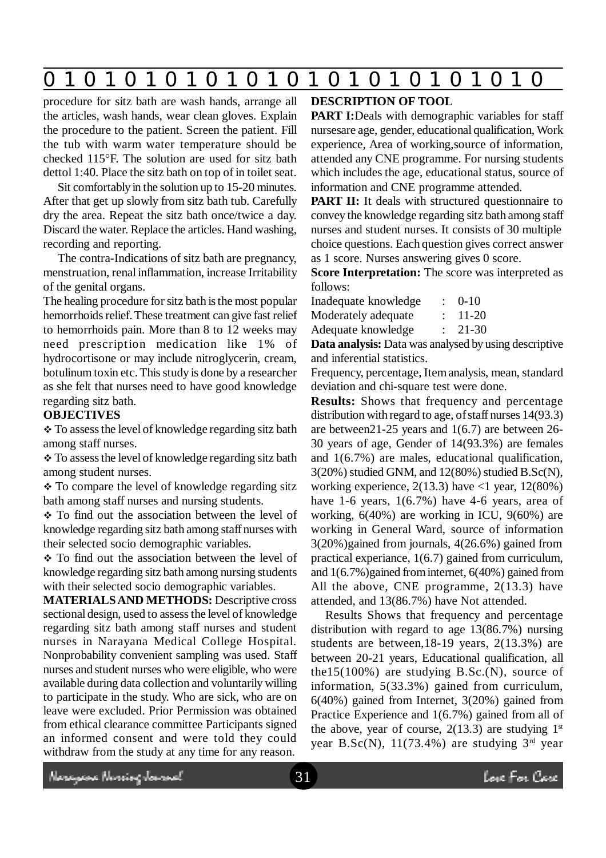# **0 z 0 z 0 z 0 z 0 z 0 z 0 z 0 z 0 z 0 z 0 z 0 z 0**

procedure for sitz bath are wash hands, arrange all the articles, wash hands, wear clean gloves. Explain the procedure to the patient. Screen the patient. Fill the tub with warm water temperature should be checked 115°F. The solution are used for sitz bath dettol 1:40. Place the sitz bath on top of in toilet seat.

Sit comfortably in the solution up to 15-20 minutes. After that get up slowly from sitz bath tub. Carefully dry the area. Repeat the sitz bath once/twice a day. Discard the water. Replace the articles. Hand washing, recording and reporting.

The contra-Indications of sitz bath are pregnancy, menstruation, renal inflammation, increase Irritability of the genital organs.

The healing procedure for sitz bath is the most popular hemorrhoids relief. These treatment can give fast relief to hemorrhoids pain. More than 8 to 12 weeks may need prescription medication like 1% of hydrocortisone or may include nitroglycerin, cream, botulinum toxin etc. This study is done by a researcher as she felt that nurses need to have good knowledge regarding sitz bath.

#### **OBJECTIVES**

\* To assess the level of knowledge regarding sitz bath among staff nurses.

 To assess the level of knowledge regarding sitz bath among student nurses.

• To compare the level of knowledge regarding sitz bath among staff nurses and nursing students.

• To find out the association between the level of knowledge regarding sitz bath among staff nurses with their selected socio demographic variables.

• To find out the association between the level of knowledge regarding sitz bath among nursing students with their selected socio demographic variables.

**MATERIALS AND METHODS:** Descriptive cross sectional design, used to assess the level of knowledge regarding sitz bath among staff nurses and student nurses in Narayana Medical College Hospital. Nonprobability convenient sampling was used. Staff nurses and student nurses who were eligible, who were available during data collection and voluntarily willing to participate in the study. Who are sick, who are on leave were excluded. Prior Permission was obtained from ethical clearance committee Participants signed an informed consent and were told they could withdraw from the study at any time for any reason.

#### **DESCRIPTION OF TOOL**

**PART I:**Deals with demographic variables for staff nursesare age, gender, educational qualification, Work experience, Area of working,source of information, attended any CNE programme. For nursing students which includes the age, educational status, source of information and CNE programme attended.

**PART II:** It deals with structured questionnaire to convey the knowledge regarding sitz bath among staff nurses and student nurses. It consists of 30 multiple choice questions. Each question gives correct answer as 1 score. Nurses answering gives 0 score.

**Score Interpretation:** The score was interpreted as follows:

Inadequate knowledge : 0-10

Moderately adequate : 11-20

Adequate knowledge : 21-30

**Data analysis:** Data was analysed by using descriptive and inferential statistics.

Frequency, percentage, Item analysis, mean, standard deviation and chi-square test were done.

**Results:** Shows that frequency and percentage distribution with regard to age, of staff nurses 14(93.3) are between21-25 years and 1(6.7) are between 26- 30 years of age, Gender of 14(93.3%) are females and 1(6.7%) are males, educational qualification, 3(20%) studied GNM, and 12(80%) studied B.Sc(N), working experience,  $2(13.3)$  have  $\langle 1 \rangle$  year,  $12(80\%)$ have 1-6 years, 1(6.7%) have 4-6 years, area of working, 6(40%) are working in ICU, 9(60%) are working in General Ward, source of information 3(20%)gained from journals, 4(26.6%) gained from practical experiance, 1(6.7) gained from curriculum, and  $1(6.7\%)$  gained from internet,  $6(40\%)$  gained from All the above, CNE programme, 2(13.3) have attended, and 13(86.7%) have Not attended.

Results Shows that frequency and percentage distribution with regard to age 13(86.7%) nursing students are between,18-19 years, 2(13.3%) are between 20-21 years, Educational qualification, all the15(100%) are studying  $B.Sc.(N)$ , source of information, 5(33.3%) gained from curriculum, 6(40%) gained from Internet, 3(20%) gained from Practice Experience and 1(6.7%) gained from all of the above, year of course,  $2(13.3)$  are studying  $1<sup>st</sup>$ year B.Sc(N),  $11(73.4\%)$  are studying  $3<sup>rd</sup>$  year

Neregeae Nereing Journal